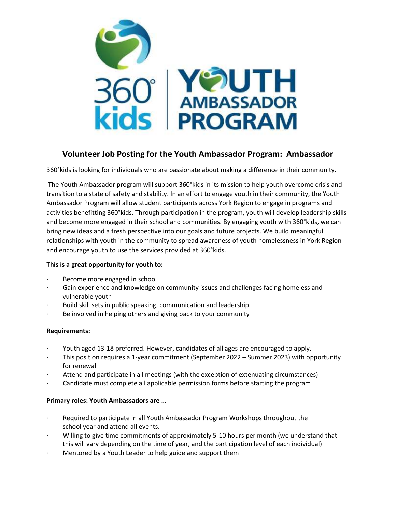

# **Volunteer Job Posting for the Youth Ambassador Program: Ambassador**

360°kids is looking for individuals who are passionate about making a difference in their community.

The Youth Ambassador program will support 360°kids in its mission to help youth overcome crisis and transition to a state of safety and stability. In an effort to engage youth in their community, the Youth Ambassador Program will allow student participants across York Region to engage in programs and activities benefitting 360°kids. Through participation in the program, youth will develop leadership skills and become more engaged in their school and communities. By engaging youth with 360°kids, we can bring new ideas and a fresh perspective into our goals and future projects. We build meaningful relationships with youth in the community to spread awareness of youth homelessness in York Region and encourage youth to use the services provided at 360°kids.

## **This is a great opportunity for youth to:**

- Become more engaged in school
- Gain experience and knowledge on community issues and challenges facing homeless and vulnerable youth
- Build skill sets in public speaking, communication and leadership
- Be involved in helping others and giving back to your community

#### **Requirements:**

- · Youth aged 13-18 preferred. However, candidates of all ages are encouraged to apply.
- This position requires a 1-year commitment (September 2022 Summer 2023) with opportunity for renewal
- Attend and participate in all meetings (with the exception of extenuating circumstances)
- · Candidate must complete all applicable permission forms before starting the program

## **Primary roles: Youth Ambassadors are …**

- · Required to participate in all Youth Ambassador Program Workshops throughout the school year and attend all events.
- · Willing to give time commitments of approximately 5-10 hours per month (we understand that this will vary depending on the time of year, and the participation level of each individual)
- Mentored by a Youth Leader to help guide and support them